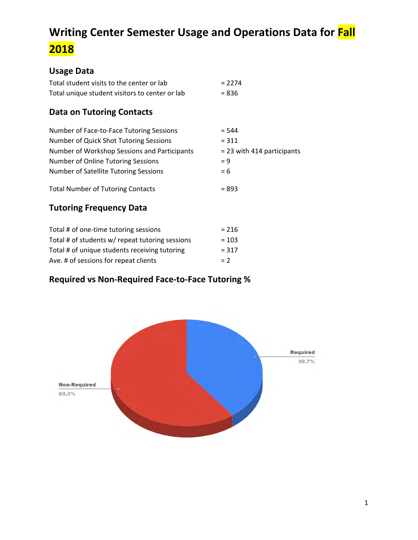# **Writing Center Semester Usage and Operations Data for Fall 2018**

#### **Usage Data**

| Total student visits to the center or lab                                  | $= 2274$                     |
|----------------------------------------------------------------------------|------------------------------|
| Total unique student visitors to center or lab                             | $= 836$                      |
| <b>Data on Tutoring Contacts</b>                                           |                              |
| Number of Face-to-Face Tutoring Sessions                                   | $= 544$                      |
| Number of Quick Shot Tutoring Sessions                                     | $= 311$                      |
| Number of Workshop Sessions and Participants                               | $= 23$ with 414 participants |
| Number of Online Tutoring Sessions                                         | $= 9$                        |
| Number of Satellite Tutoring Sessions                                      | $= 6$                        |
| <b>Total Number of Tutoring Contacts</b><br><b>Tutoring Frequency Data</b> | $= 893$                      |

| Total # of one-time tutoring sessions           | $= 216$ |
|-------------------------------------------------|---------|
| Total # of students w/ repeat tutoring sessions | $= 103$ |
| Total # of unique students receiving tutoring   | $= 317$ |
| Ave. # of sessions for repeat clients           | $= 2$   |

# **Required vs Non-Required Face-to-Face Tutoring %**

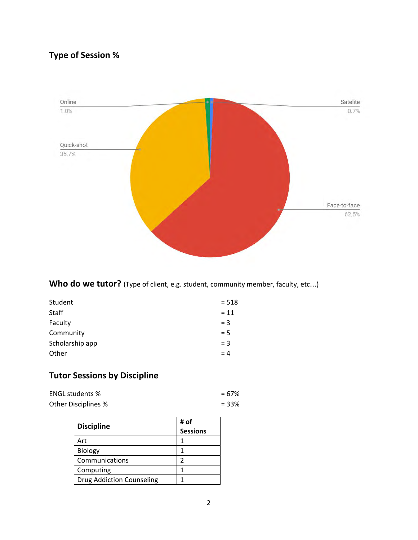# **Type of Session %**



Who do we tutor? (Type of client, e.g. student, community member, faculty, etc...)

| Student         | $= 518$ |
|-----------------|---------|
| <b>Staff</b>    | $= 11$  |
| Faculty         | $=$ 3   |
| Community       | $= 5$   |
| Scholarship app | $=$ 3   |
| Other           | $= 4$   |
|                 |         |

#### **Tutor Sessions by Discipline**

| <b>ENGL students %</b> | $= 67\%$ |
|------------------------|----------|
| Other Disciplines %    | $= 33%$  |

| <b>Discipline</b>                | # of<br><b>Sessions</b> |
|----------------------------------|-------------------------|
| Art                              |                         |
| Biology                          |                         |
| Communications                   |                         |
| Computing                        |                         |
| <b>Drug Addiction Counseling</b> |                         |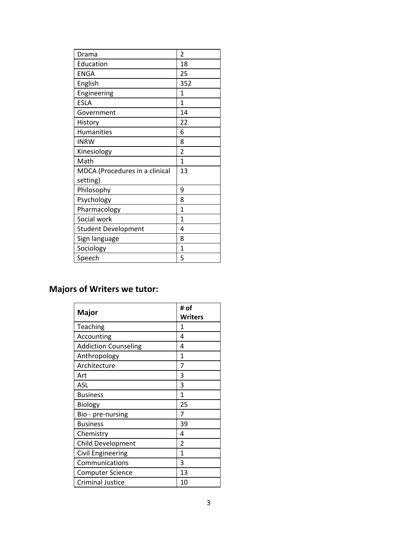# **Majors of Writers we tutor:**

|                             | # of    |
|-----------------------------|---------|
| Major                       | Writers |
| Teaching                    | 1       |
| Accounting                  | 4       |
| <b>Addiction Counseling</b> | 4       |
| Anthropology                | 1       |
| Architecture                | 7       |
| Art                         | 3       |
| ASL                         | 3       |
| <b>Business</b>             | 1       |
| Biology                     | 25      |
| Bio - pre-nursing           | 7       |
| <b>Business</b>             | 39      |
| Chemistry                   | 4       |
| <b>Child Development</b>    | 2       |
| Civil Engineering           | 1       |
| Communications              | 3       |
| <b>Computer Science</b>     | 13      |
| <b>Criminal Justice</b>     | 10      |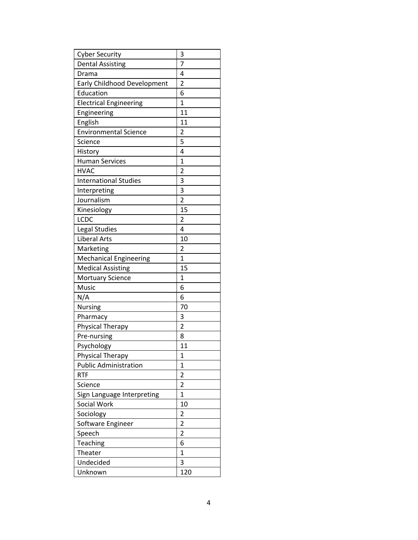| <b>Cyber Security</b>         | 3                       |
|-------------------------------|-------------------------|
| <b>Dental Assisting</b>       | 7                       |
| Drama                         | 4                       |
| Early Childhood Development   | 2                       |
| Education                     | 6                       |
| <b>Electrical Engineering</b> | $\mathbf{1}$            |
| Engineering                   | 11                      |
| English                       | 11                      |
| <b>Environmental Science</b>  | 2                       |
| Science                       | 5                       |
| History                       | 4                       |
| <b>Human Services</b>         | $\mathbf{1}$            |
| <b>HVAC</b>                   | 2                       |
| <b>International Studies</b>  | 3                       |
| Interpreting                  | 3                       |
| Journalism                    | $\overline{2}$          |
| Kinesiology                   | 15                      |
| <b>LCDC</b>                   | 2                       |
| Legal Studies                 | 4                       |
| <b>Liberal Arts</b>           | 10                      |
| Marketing                     | 2                       |
| <b>Mechanical Engineering</b> | $\mathbf{1}$            |
| <b>Medical Assisting</b>      | 15                      |
| <b>Mortuary Science</b>       | $\overline{1}$          |
| Music                         | 6                       |
| N/A                           | 6                       |
| Nursing                       | 70                      |
| Pharmacy                      | 3                       |
| Physical Therapy              | $\overline{2}$          |
| Pre-nursing                   | 8                       |
| Psychology                    | 11                      |
| Physical Therapy              | $\mathbf 1$             |
| <b>Public Administration</b>  | 1                       |
| <b>RTF</b>                    | 2                       |
| Science                       | $\overline{2}$          |
| Sign Language Interpreting    | $\mathbf{1}$            |
| Social Work                   | 10                      |
| Sociology                     | 2                       |
| Software Engineer             | $\overline{\mathbf{c}}$ |
| Speech                        | $\overline{2}$          |
| <b>Teaching</b>               | 6                       |
| Theater                       | 1                       |
| Undecided                     | 3                       |
| Unknown                       | 120                     |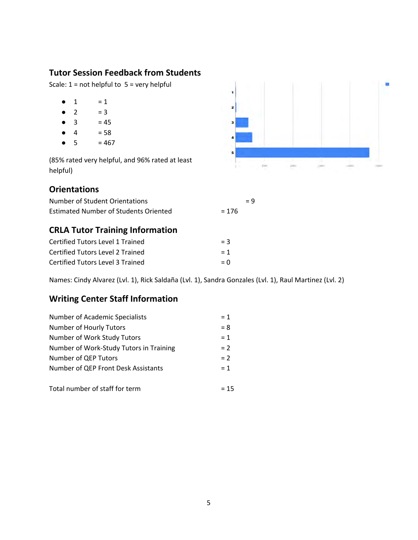#### **Tutor Session Feedback from Students**

Scale:  $1 = not helpful to 5 = very helpful$ 

- $-1 = 1$
- $-2 = 3$
- $\bullet$  3 = 45
- $\bullet$  4 = 58
- $5 = 467$

(85% rated very helpful, and 96% rated at least helpful)

#### **Orientations**

| Number of Student Orientations        |         | $= 9$ |
|---------------------------------------|---------|-------|
| Estimated Number of Students Oriented | $= 176$ |       |

#### **CRLA Tutor Training Information**

| Certified Tutors Level 1 Trained | $=$ 3 |
|----------------------------------|-------|
| Certified Tutors Level 2 Trained | $= 1$ |
| Certified Tutors Level 3 Trained | $= 0$ |

Names: Cindy Alvarez (Lvl. 1), Rick Saldaña (Lvl. 1), Sandra Gonzales (Lvl. 1), Raul Martinez (Lvl. 2)

#### **Writing Center Staff Information**

| <b>Number of Academic Specialists</b>   | $= 1$  |
|-----------------------------------------|--------|
| Number of Hourly Tutors                 | $= 8$  |
| Number of Work Study Tutors             | $= 1$  |
| Number of Work-Study Tutors in Training | $= 2$  |
| Number of QEP Tutors                    | $= 2$  |
| Number of QEP Front Desk Assistants     | $= 1$  |
|                                         |        |
| Total number of staff for term          | $= 15$ |

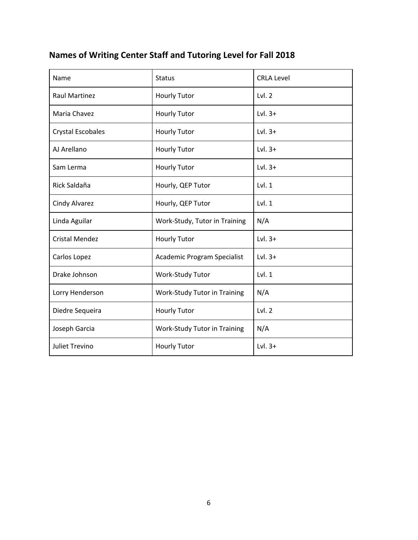# **Names of Writing Center Staff and Tutoring Level for Fall 2018**

| Name                     | <b>Status</b>                 | <b>CRLA Level</b> |
|--------------------------|-------------------------------|-------------------|
| <b>Raul Martinez</b>     | <b>Hourly Tutor</b>           | Lvl.2             |
| Maria Chavez             | <b>Hourly Tutor</b>           | Lvl. $3+$         |
| <b>Crystal Escobales</b> | <b>Hourly Tutor</b>           | Lvl. $3+$         |
| AJ Arellano              | <b>Hourly Tutor</b>           | Lvl. $3+$         |
| Sam Lerma                | <b>Hourly Tutor</b>           | Lvl. $3+$         |
| Rick Saldaña             | Hourly, QEP Tutor             | Lvl.1             |
| <b>Cindy Alvarez</b>     | Hourly, QEP Tutor             | Lvl.1             |
| Linda Aguilar            | Work-Study, Tutor in Training | N/A               |
| <b>Cristal Mendez</b>    | <b>Hourly Tutor</b>           | Lvl. $3+$         |
| Carlos Lopez             | Academic Program Specialist   | Lvl. $3+$         |
| Drake Johnson            | Work-Study Tutor              | Lvl.1             |
| Lorry Henderson          | Work-Study Tutor in Training  | N/A               |
| Diedre Sequeira          | <b>Hourly Tutor</b>           | Lvl.2             |
| Joseph Garcia            | Work-Study Tutor in Training  | N/A               |
| <b>Juliet Trevino</b>    | <b>Hourly Tutor</b>           | Lvl. $3+$         |